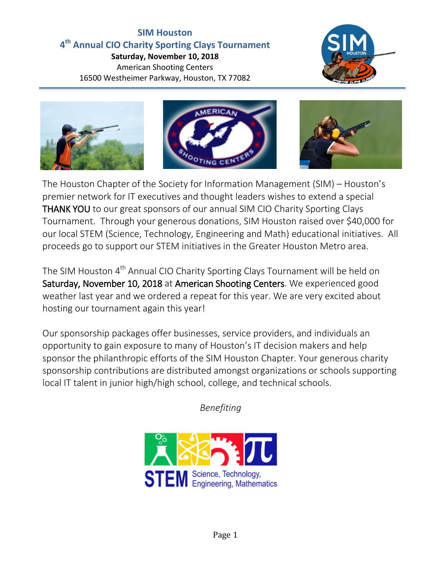# **SIM Houston 4 th Annual CIO Charity Sporting Clays Tournament**

**Saturday, November 10, 2018** American Shooting Centers 16500 Westheimer Parkway, Houston, TX 77082







The Houston Chapter of the Society for Information Management (SIM) – Houston's premier network for IT executives and thought leaders wishes to extend a special THANK YOU to our great sponsors of our annual SIM CIO Charity Sporting Clays Tournament. Through your generous donations, SIM Houston raised over \$40,000 for our local STEM (Science, Technology, Engineering and Math) educational initiatives. All proceeds go to support our STEM initiatives in the Greater Houston Metro area.

The SIM Houston 4<sup>th</sup> Annual CIO Charity Sporting Clays Tournament will be held on Saturday, November 10, 2018 at American Shooting Centers. We experienced good weather last year and we ordered a repeat for this year. We are very excited about hosting our tournament again this year!

Our sponsorship packages offer businesses, service providers, and individuals an opportunity to gain exposure to many of Houston's IT decision makers and help sponsor the philanthropic efforts of the SIM Houston Chapter. Your generous charity sponsorship contributions are distributed amongst organizations or schools supporting local IT talent in junior high/high school, college, and technical schools.

*Benefiting*

**STEM** Science, Technology,

Page 1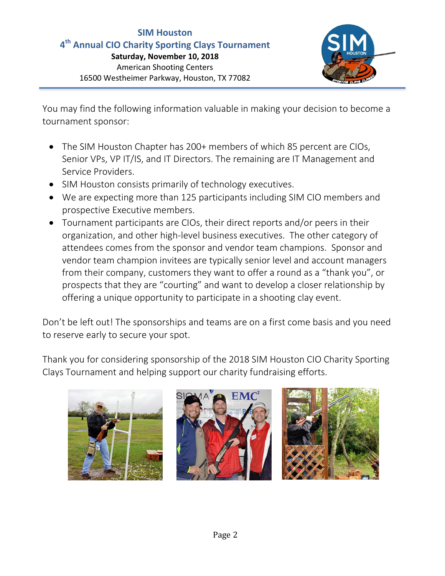## **SIM Houston 4 th Annual CIO Charity Sporting Clays Tournament**

**Saturday, November 10, 2018** American Shooting Centers 16500 Westheimer Parkway, Houston, TX 77082



You may find the following information valuable in making your decision to become a tournament sponsor:

- The SIM Houston Chapter has 200+ members of which 85 percent are CIOs, Senior VPs, VP IT/IS, and IT Directors. The remaining are IT Management and Service Providers.
- SIM Houston consists primarily of technology executives.
- We are expecting more than 125 participants including SIM CIO members and prospective Executive members.
- Tournament participants are CIOs, their direct reports and/or peers in their organization, and other high-level business executives. The other category of attendees comes from the sponsor and vendor team champions. Sponsor and vendor team champion invitees are typically senior level and account managers from their company, customers they want to offer a round as a "thank you", or prospects that they are "courting" and want to develop a closer relationship by offering a unique opportunity to participate in a shooting clay event.

Don't be left out! The sponsorships and teams are on a first come basis and you need to reserve early to secure your spot.

Thank you for considering sponsorship of the 2018 SIM Houston CIO Charity Sporting Clays Tournament and helping support our charity fundraising efforts.

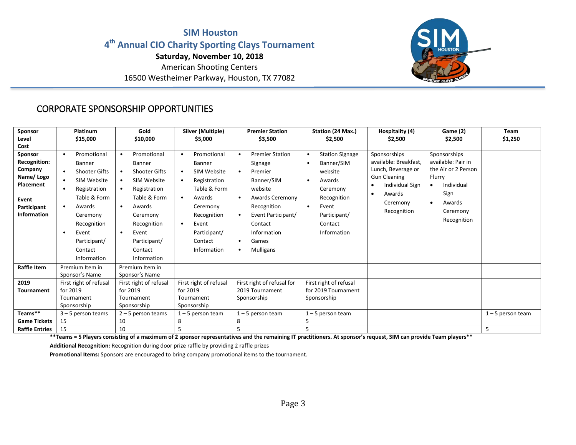#### **SIM Houston 4 th Annual CIO Charity Sporting Clays Tournament Saturday, November 10, 2018** American Shooting Centers

16500 Westheimer Parkway, Houston, TX 77082



## CORPORATE SPONSORSHIP OPPORTUNITIES

| Sponsor<br>Level<br>Cost                                                                                   | Platinum<br>\$15,000                                                                                                                                                                                                                                  | Gold<br>\$10,000                                                                                                                                                                                                                                      | Silver (Multiple)<br>\$5,000                                                                                                                                                                               | <b>Premier Station</b><br>\$3,500                                                                                                                                                                                                      | Station (24 Max.)<br>\$2,500                                                                                                                         | Hospitality (4)<br>\$2,500                                                                                                                                     | Game (2)<br>\$2,500                                                                                                                                      | Team<br>\$1,250     |
|------------------------------------------------------------------------------------------------------------|-------------------------------------------------------------------------------------------------------------------------------------------------------------------------------------------------------------------------------------------------------|-------------------------------------------------------------------------------------------------------------------------------------------------------------------------------------------------------------------------------------------------------|------------------------------------------------------------------------------------------------------------------------------------------------------------------------------------------------------------|----------------------------------------------------------------------------------------------------------------------------------------------------------------------------------------------------------------------------------------|------------------------------------------------------------------------------------------------------------------------------------------------------|----------------------------------------------------------------------------------------------------------------------------------------------------------------|----------------------------------------------------------------------------------------------------------------------------------------------------------|---------------------|
| Sponsor<br><b>Recognition:</b><br>Company<br>Name/Logo<br>Placement<br>Event<br>Participant<br>Information | Promotional<br>$\bullet$<br>Banner<br><b>Shooter Gifts</b><br>$\bullet$<br>SIM Website<br>$\bullet$<br>Registration<br>$\bullet$<br>Table & Form<br>Awards<br>$\bullet$<br>Ceremony<br>Recognition<br>Event<br>Participant/<br>Contact<br>Information | Promotional<br>$\bullet$<br>Banner<br><b>Shooter Gifts</b><br>$\bullet$<br>SIM Website<br>$\bullet$<br>Registration<br>Table & Form<br>Awards<br>$\bullet$<br>Ceremony<br>Recognition<br>Event<br>$\bullet$<br>Participant/<br>Contact<br>Information | Promotional<br><b>Banner</b><br>SIM Website<br>$\bullet$<br>Registration<br>Table & Form<br>Awards<br>$\bullet$<br>Ceremony<br>Recognition<br>Event<br>$\bullet$<br>Participant/<br>Contact<br>Information | <b>Premier Station</b><br>$\bullet$<br>Signage<br>Premier<br>$\bullet$<br>Banner/SIM<br>website<br>Awards Ceremony<br>Recognition<br>Event Participant/<br>$\bullet$<br>Contact<br>Information<br>Games<br>٠<br>Mulligans<br>$\bullet$ | <b>Station Signage</b><br>Banner/SIM<br>website<br>Awards<br>Ceremony<br>Recognition<br>Event<br>$\bullet$<br>Participant/<br>Contact<br>Information | Sponsorships<br>available: Breakfast,<br>Lunch, Beverage or<br><b>Gun Cleaning</b><br><b>Individual Sign</b><br>Awards<br>$\bullet$<br>Ceremony<br>Recognition | Sponsorships<br>available: Pair in<br>the Air or 2 Person<br>Flurry<br>Individual<br>$\bullet$<br>Sign<br>Awards<br>$\bullet$<br>Ceremony<br>Recognition |                     |
| Raffle Item                                                                                                | Premium Item in<br>Sponsor's Name                                                                                                                                                                                                                     | Premium Item in<br>Sponsor's Name                                                                                                                                                                                                                     |                                                                                                                                                                                                            |                                                                                                                                                                                                                                        |                                                                                                                                                      |                                                                                                                                                                |                                                                                                                                                          |                     |
| 2019<br>Tournament                                                                                         | First right of refusal<br>for 2019<br>Tournament<br>Sponsorship                                                                                                                                                                                       | First right of refusal<br>for 2019<br>Tournament<br>Sponsorship                                                                                                                                                                                       | First right of refusal<br>for 2019<br>Tournament<br>Sponsorship                                                                                                                                            | First right of refusal for<br>2019 Tournament<br>Sponsorship                                                                                                                                                                           | First right of refusal<br>for 2019 Tournament<br>Sponsorship                                                                                         |                                                                                                                                                                |                                                                                                                                                          |                     |
| Teams**<br><b>Game Tickets</b>                                                                             | $3 - 5$ person teams<br>15                                                                                                                                                                                                                            | $2 - 5$ person teams<br>10                                                                                                                                                                                                                            | $1 - 5$ person team<br>8                                                                                                                                                                                   | 1-5 person team<br>8                                                                                                                                                                                                                   | 1-5 person team<br>5                                                                                                                                 |                                                                                                                                                                |                                                                                                                                                          | $1 - 5$ person team |
| <b>Raffle Entries</b>                                                                                      | 15                                                                                                                                                                                                                                                    | 10                                                                                                                                                                                                                                                    | 5                                                                                                                                                                                                          | 5                                                                                                                                                                                                                                      | 5                                                                                                                                                    |                                                                                                                                                                |                                                                                                                                                          | 5                   |

**\*\*Teams = 5 Players consisting of a maximum of 2 sponsor representatives and the remaining IT practitioners. At sponsor's request, SIM can provide Team players\*\***

**Additional Recognition:** Recognition during door prize raffle by providing 2 raffle prizes

**Promotional Items:** Sponsors are encouraged to bring company promotional items to the tournament.